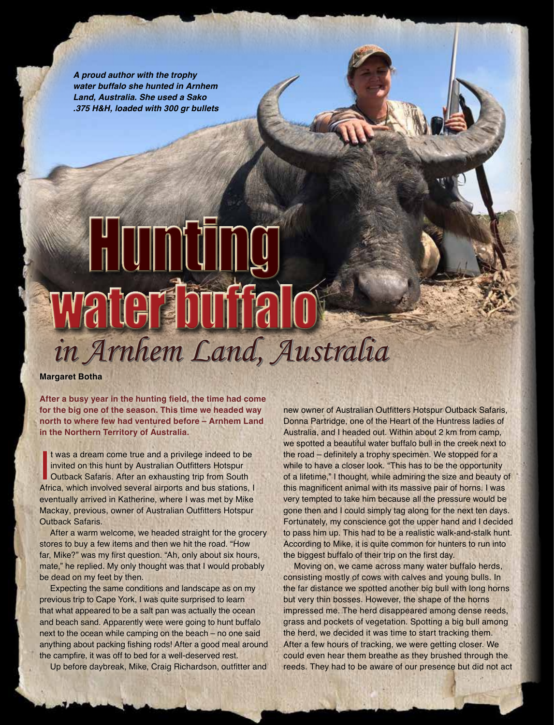*A proud author with the trophy water buffalo she hunted in Arnhem Land, Australia. She used a Sako .375 H&H, loaded with 300 gr bullets*

## **Hunting** water f  *in Arnhem Land, Australia*

**Margaret Botha**

**After a busy year in the hunting field, the time had come for the big one of the season. This time we headed way north to where few had ventured before – Arnhem Land in the Northern Territory of Australia.** 

It was a dream come true and a privilege indeed to be<br>invited on this hunt by Australian Outfitters Hotspur<br>Outback Safaris. After an exhausting trip from South<br>Africa, which involved several airports and bus stations, I t was a dream come true and a privilege indeed to be invited on this hunt by Australian Outfitters Hotspur Outback Safaris. After an exhausting trip from South eventually arrived in Katherine, where I was met by Mike Mackay, previous, owner of Australian Outfitters Hotspur Outback Safaris.

After a warm welcome, we headed straight for the grocery stores to buy a few items and then we hit the road. "How far, Mike?" was my first question. "Ah, only about six hours, mate," he replied. My only thought was that I would probably be dead on my feet by then.

Expecting the same conditions and landscape as on my previous trip to Cape York, I was quite surprised to learn that what appeared to be a salt pan was actually the ocean and beach sand. Apparently were were going to hunt buffalo next to the ocean while camping on the beach – no one said anything about packing fishing rods! After a good meal around the campfire, it was off to bed for a well-deserved rest. Up before daybreak, Mike, Craig Richardson, outfitter and

new owner of Australian Outfitters Hotspur Outback Safaris, Donna Partridge, one of the Heart of the Huntress ladies of Australia, and I headed out. Within about 2 km from camp, we spotted a beautiful water buffalo bull in the creek next to the road – definitely a trophy specimen. We stopped for a while to have a closer look. "This has to be the opportunity of a lifetime," I thought, while admiring the size and beauty of this magnificent animal with its massive pair of horns. I was very tempted to take him because all the pressure would be gone then and I could simply tag along for the next ten days. Fortunately, my conscience got the upper hand and I decided to pass him up. This had to be a realistic walk-and-stalk hunt. According to Mike, it is quite common for hunters to run into the biggest buffalo of their trip on the first day.

Moving on, we came across many water buffalo herds, consisting mostly of cows with calves and young bulls. In the far distance we spotted another big bull with long horns but very thin bosses. However, the shape of the horns impressed me. The herd disappeared among dense reeds, grass and pockets of vegetation. Spotting a big bull among the herd, we decided it was time to start tracking them. After a few hours of tracking, we were getting closer. We could even hear them breathe as they brushed through the reeds. They had to be aware of our presence but did not act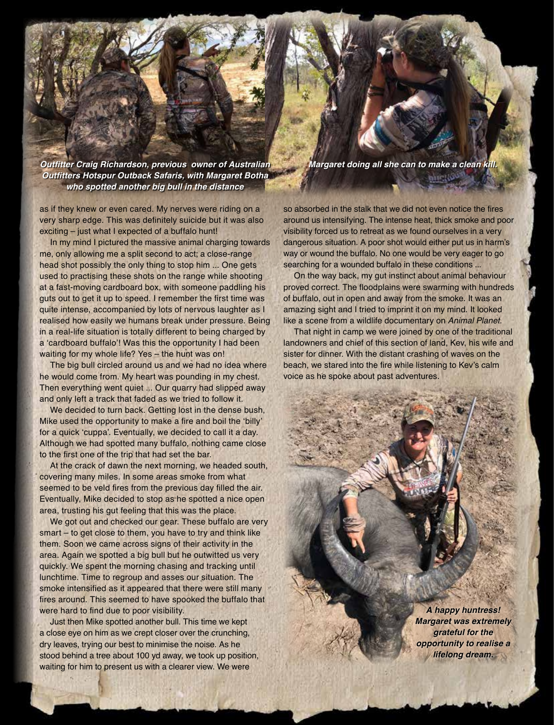**Outfitter Craig Richardson, previous owner of Australian Outfitters Hotspur Outback Safaris, with Margaret Botha who spotted another big bull in the distance**

as if they knew or even cared. My nerves were riding on a very sharp edge. This was definitely suicide but it was also exciting – just what I expected of a buffalo hunt!

In my mind I pictured the massive animal charging towards me, only allowing me a split second to act; a close-range head shot possibly the only thing to stop him ... One gets used to practising these shots on the range while shooting at a fast-moving cardboard box, with someone paddling his guts out to get it up to speed. I remember the first time was quite intense, accompanied by lots of nervous laughter as I realised how easily we humans break under pressure. Being in a real-life situation is totally different to being charged by a 'cardboard buffalo'! Was this the opportunity I had been waiting for my whole life? Yes – the hunt was on!

The big bull circled around us and we had no idea where he would come from. My heart was pounding in my chest. Then everything went quiet ... Our quarry had slipped away and only left a track that faded as we tried to follow it.

We decided to turn back. Getting lost in the dense bush, Mike used the opportunity to make a fire and boil the 'billy' for a quick 'cuppa'. Eventually, we decided to call it a day. Although we had spotted many buffalo, nothing came close to the first one of the trip that had set the bar.

At the crack of dawn the next morning, we headed south, covering many miles. In some areas smoke from what seemed to be veld fires from the previous day filled the air. Eventually, Mike decided to stop as he spotted a nice open area, trusting his gut feeling that this was the place.

We got out and checked our gear. These buffalo are very smart – to get close to them, you have to try and think like them. Soon we came across signs of their activity in the area. Again we spotted a big bull but he outwitted us very quickly. We spent the morning chasing and tracking until lunchtime. Time to regroup and asses our situation. The smoke intensified as it appeared that there were still many fires around. This seemed to have spooked the buffalo that were hard to find due to poor visibility.

Just then Mike spotted another bull. This time we kept a close eye on him as we crept closer over the crunching, dry leaves, trying our best to minimise the noise. As he stood behind a tree about 100 yd away, we took up position, waiting for him to present us with a clearer view. We were

**Margaret doing all she can to make a clean kill.** 

**MILLION** 

so absorbed in the stalk that we did not even notice the fires around us intensifying. The intense heat, thick smoke and poor visibility forced us to retreat as we found ourselves in a very dangerous situation. A poor shot would either put us in harm's way or wound the buffalo. No one would be very eager to go searching for a wounded buffalo in these conditions ...

On the way back, my gut instinct about animal behaviour proved correct. The floodplains were swarming with hundreds of buffalo, out in open and away from the smoke. It was an amazing sight and I tried to imprint it on my mind. It looked like a scene from a wildlife documentary on *Animal Planet.*

That night in camp we were joined by one of the traditional landowners and chief of this section of land, Kev, his wife and sister for dinner. With the distant crashing of waves on the beach, we stared into the fire while listening to Kev's calm voice as he spoke about past adventures.

> *A happy huntress!*  **Margaret was extremely**  *grateful for the opportunity to realise a lifelong dream.*